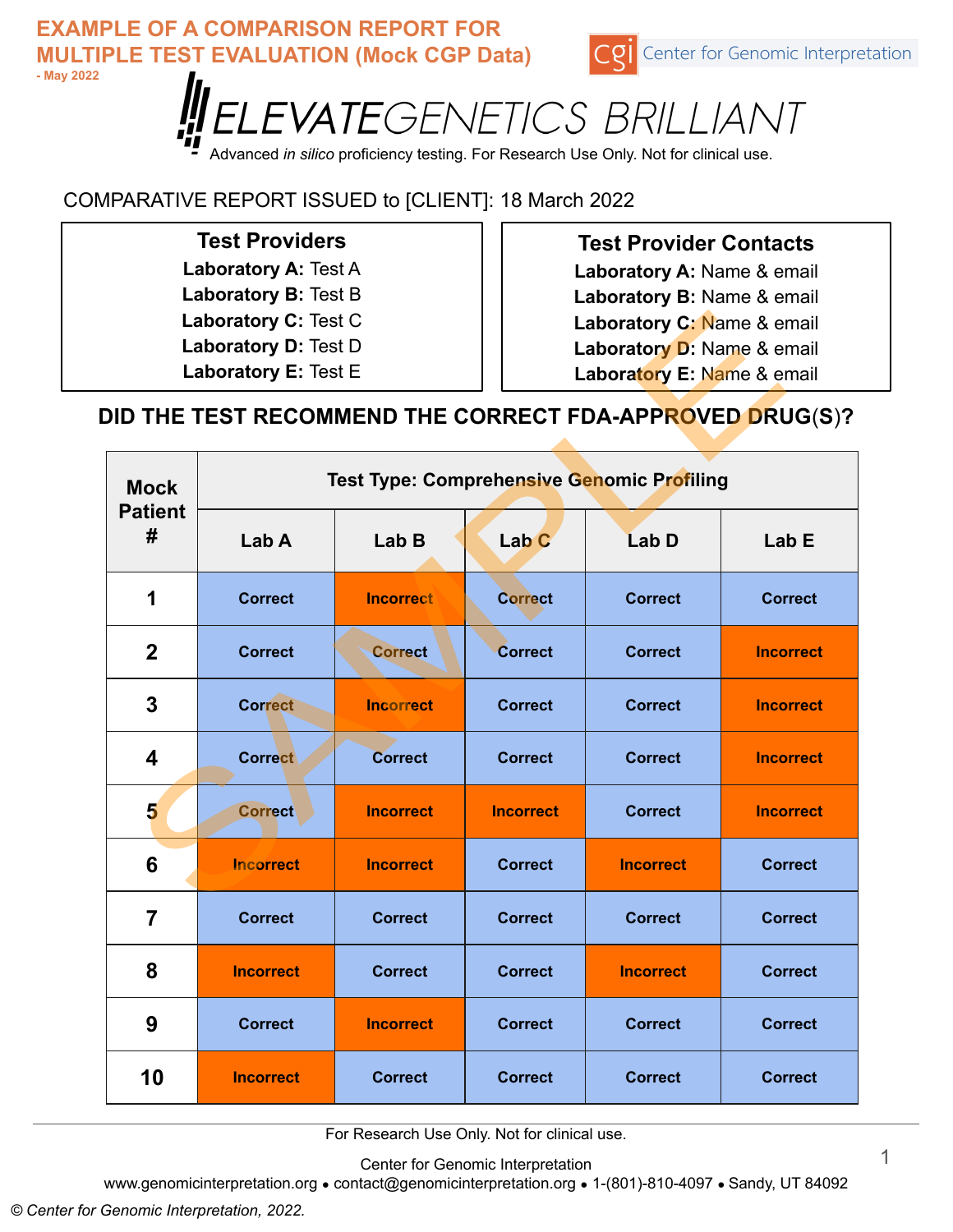

Advanced *in silico* proficiency testing. For Research Use Only. Not for clinical use.

## COMPARATIVE REPORT ISSUED to [CLIENT]: 18 March 2022

### **Test Providers**

- **Laboratory A: Test A Laboratory B:** Test B
- **Laboratory C:** Test C
- **Laboratory D:** Test D
- 
- **Laboratory E:** Test E

### **Test Provider Contacts**

**Laboratory A:** Name & email **Laboratory B:** Name & email

**Laboratory C:** Name & email

- **Laboratory D:** Name & email
- **Laboratory E:** Name & email

## **DID THE TEST RECOMMEND THE CORRECT FDA-APPROVED DRUG**(**S**)**?**

| <b>Mock</b><br><b>Patient</b><br># | <b>Test Type: Comprehensive Genomic Profiling</b> |                  |                  |                  |                  |  |  |  |  |
|------------------------------------|---------------------------------------------------|------------------|------------------|------------------|------------------|--|--|--|--|
|                                    | Lab A                                             | Lab B            | Lab <sub>C</sub> | Lab D            | Lab E            |  |  |  |  |
| 1                                  | <b>Correct</b>                                    | <b>Incorrect</b> | <b>Correct</b>   | <b>Correct</b>   | <b>Correct</b>   |  |  |  |  |
| $\boldsymbol{2}$                   | <b>Correct</b>                                    | <b>Correct</b>   | <b>Correct</b>   | <b>Correct</b>   | <b>Incorrect</b> |  |  |  |  |
| 3                                  | <b>Correct</b>                                    | <b>Incorrect</b> | <b>Correct</b>   | <b>Correct</b>   | <b>Incorrect</b> |  |  |  |  |
| $\overline{\mathbf{4}}$            | <b>Correct</b>                                    | <b>Correct</b>   | <b>Correct</b>   | <b>Correct</b>   | <b>Incorrect</b> |  |  |  |  |
| 5                                  | <b>Correct</b>                                    | <b>Incorrect</b> | <b>Incorrect</b> | <b>Correct</b>   | <b>Incorrect</b> |  |  |  |  |
| 6                                  | <b>Incorrect</b>                                  | <b>Incorrect</b> | <b>Correct</b>   | <b>Incorrect</b> | <b>Correct</b>   |  |  |  |  |
| $\overline{7}$                     | <b>Correct</b>                                    | <b>Correct</b>   | <b>Correct</b>   | <b>Correct</b>   | <b>Correct</b>   |  |  |  |  |
| 8                                  | <b>Incorrect</b>                                  | <b>Correct</b>   | <b>Correct</b>   | <b>Incorrect</b> | <b>Correct</b>   |  |  |  |  |
| 9                                  | <b>Correct</b>                                    | <b>Incorrect</b> | <b>Correct</b>   | <b>Correct</b>   | <b>Correct</b>   |  |  |  |  |
| 10                                 | <b>Incorrect</b>                                  | <b>Correct</b>   | <b>Correct</b>   | <b>Correct</b>   | <b>Correct</b>   |  |  |  |  |

For Research Use Only. Not for clinical use.

Center for Genomic Interpretation

www.genomicinterpretation.org ● contact@genomicinterpretation.org ● 1-(801)-810-4097 ● Sandy, UT 84092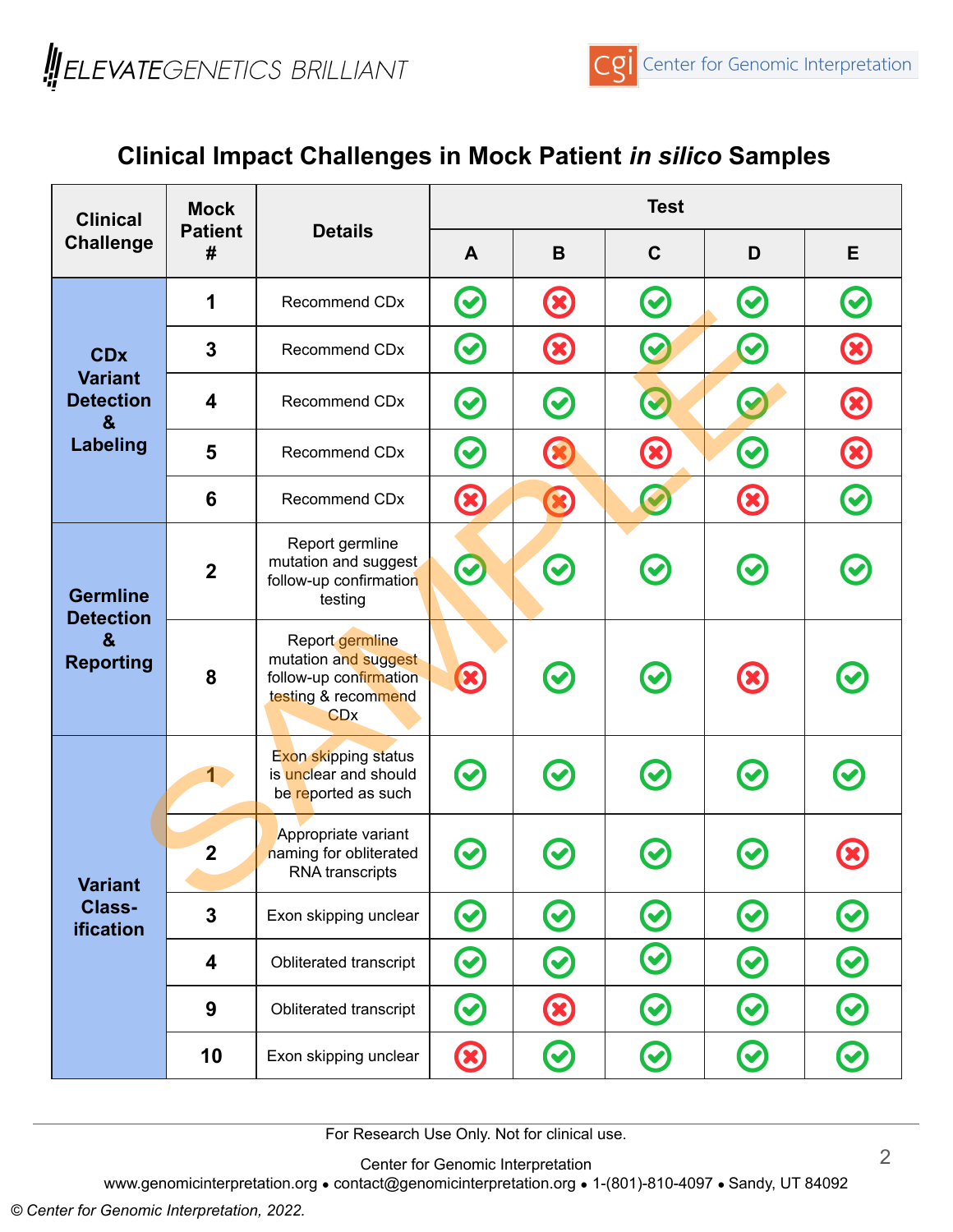

# **Clinical Impact Challenges in Mock Patient** *in silico* **Samples**

| <b>Clinical</b><br><b>Challenge</b>                                              | <b>Mock</b><br><b>Patient</b><br># | <b>Details</b>                                                                                                    | <b>Test</b>  |               |              |                   |               |
|----------------------------------------------------------------------------------|------------------------------------|-------------------------------------------------------------------------------------------------------------------|--------------|---------------|--------------|-------------------|---------------|
|                                                                                  |                                    |                                                                                                                   | $\mathsf{A}$ | B             | $\mathbf C$  | D                 | E             |
| <b>CDx</b><br><b>Variant</b><br><b>Detection</b><br>&<br><b>Labeling</b>         | 1                                  | Recommend CDx                                                                                                     | $\bm{\odot}$ | $\odot$       | $\odot$      | $\odot$           | $\bullet$     |
|                                                                                  | 3                                  | Recommend CDx                                                                                                     | $\bm{\odot}$ | $\circledast$ | $\bigcirc$   | $\mathbf{\Omega}$ | $\bigcirc$    |
|                                                                                  | $\overline{\mathbf{4}}$            | <b>Recommend CDx</b>                                                                                              | $\bm{\odot}$ | $\bigodot$    | $\bullet$    | $\bullet$         | $\bigcirc$    |
|                                                                                  | 5                                  | <b>Recommend CDx</b>                                                                                              | $\bigodot$   | $\bigcirc$    | $\bigcirc$   | $\bm{\Theta}$     | $\bigcirc$    |
|                                                                                  | 6                                  | Recommend CDx                                                                                                     | $\bigcirc$   | $\circledast$ | C            | $\bigcirc$        | $\bigcirc$    |
| <b>Germline</b><br><b>Detection</b><br>$\boldsymbol{\alpha}$<br><b>Reporting</b> | $\overline{2}$                     | Report germline<br>mutation and suggest<br>follow-up confirmation<br>testing                                      | $\bullet$    | $\bm{\Theta}$ | $\bm{\odot}$ | $\bigodot$        |               |
|                                                                                  | 8                                  | Report germline<br>mutation and suggest<br>follow-up confirmation<br>testing & recommend<br><b>CD<sub>X</sub></b> | $\odot$      | $\odot$       | $\odot$      | $\circledR$       |               |
| <b>Variant</b><br>Class-<br>ification                                            | 1                                  | <b>Exon skipping status</b><br>is unclear and should<br>be reported as such                                       | $\odot$      | $\bigcirc$    | $\odot$      | $\odot$           | $\bullet$     |
|                                                                                  | $\boldsymbol{2}$                   | Appropriate variant<br>naming for obliterated<br><b>RNA</b> transcripts                                           | $\bf C$      |               |              |                   |               |
|                                                                                  | $\overline{3}$                     | Exon skipping unclear                                                                                             | $\bm{\odot}$ | $\bm{\Theta}$ | $\bm{\odot}$ | $\bm{\Theta}$     | $\bigodot$    |
|                                                                                  | $\overline{\mathbf{4}}$            | Obliterated transcript                                                                                            | $\bm{\odot}$ | $\bm{\odot}$  | $\bigcirc$   | $\bm{\Theta}$     | $\bigodot$    |
|                                                                                  | $\boldsymbol{9}$                   | Obliterated transcript                                                                                            | $\bm{\odot}$ | $\bigcirc$    | $\bm{\odot}$ | $\bm{\omega}$     | $\bm{\Theta}$ |
|                                                                                  | 10                                 | Exon skipping unclear                                                                                             | $\bigcirc$   | $\bm{\Theta}$ | $\bm{\odot}$ | $\bm{\omega}$     | C             |

For Research Use Only. Not for clinical use.

Center for Genomic Interpretation

www.genomicinterpretation.org • contact@genomicinterpretation.org • 1-(801)-810-4097 • Sandy, UT 84092

*© Center for Genomic Interpretation, 2022.*